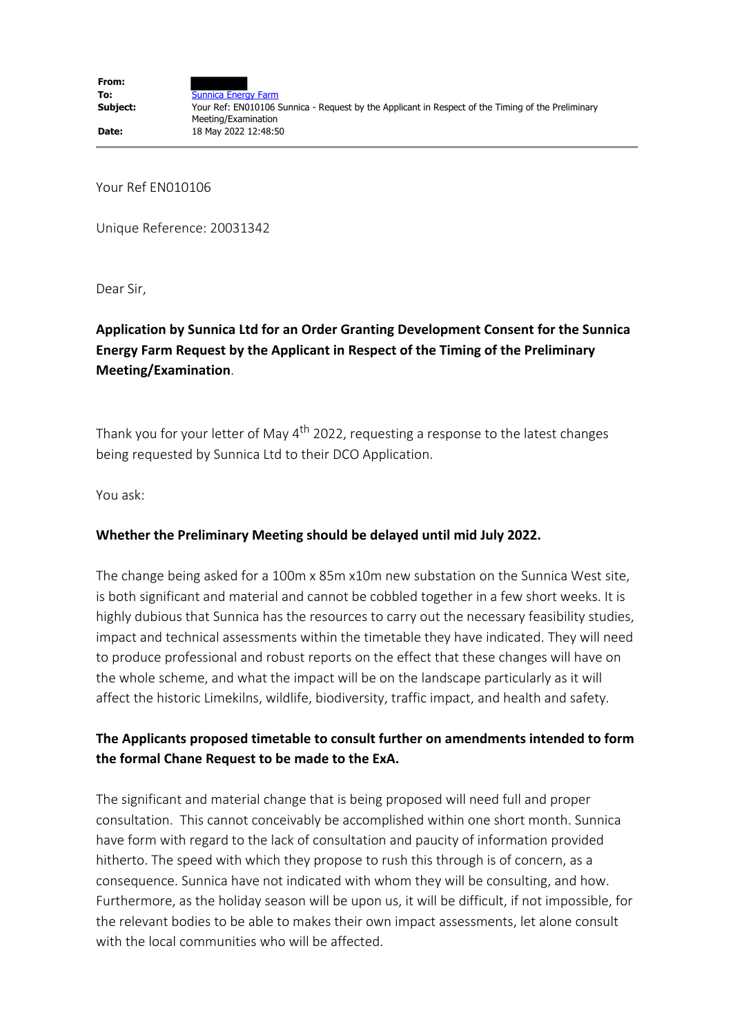Your Ref EN010106

Unique Reference: 20031342

Dear Sir,

## **Application by Sunnica Ltd for an Order Granting Development Consent for the Sunnica Energy Farm Request by the Applicant in Respect of the Timing of the Preliminary Meeting/Examination**.

Thank you for your letter of May  $4<sup>th</sup>$  2022, requesting a response to the latest changes being requested by Sunnica Ltd to their DCO Application.

You ask:

## **Whether the Preliminary Meeting should be delayed until mid July 2022.**

The change being asked for a 100m x 85m x10m new substation on the Sunnica West site, is both significant and material and cannot be cobbled together in a few short weeks. It is highly dubious that Sunnica has the resources to carry out the necessary feasibility studies, impact and technical assessments within the timetable they have indicated. They will need to produce professional and robust reports on the effect that these changes will have on the whole scheme, and what the impact will be on the landscape particularly as it will affect the historic Limekilns, wildlife, biodiversity, traffic impact, and health and safety.

## **The Applicants proposed timetable to consult further on amendments intended to form the formal Chane Request to be made to the ExA.**

The significant and material change that is being proposed will need full and proper consultation. This cannot conceivably be accomplished within one short month. Sunnica have form with regard to the lack of consultation and paucity of information provided hitherto. The speed with which they propose to rush this through is of concern, as a consequence. Sunnica have not indicated with whom they will be consulting, and how. Furthermore, as the holiday season will be upon us, it will be difficult, if not impossible, for the relevant bodies to be able to makes their own impact assessments, let alone consult with the local communities who will be affected.